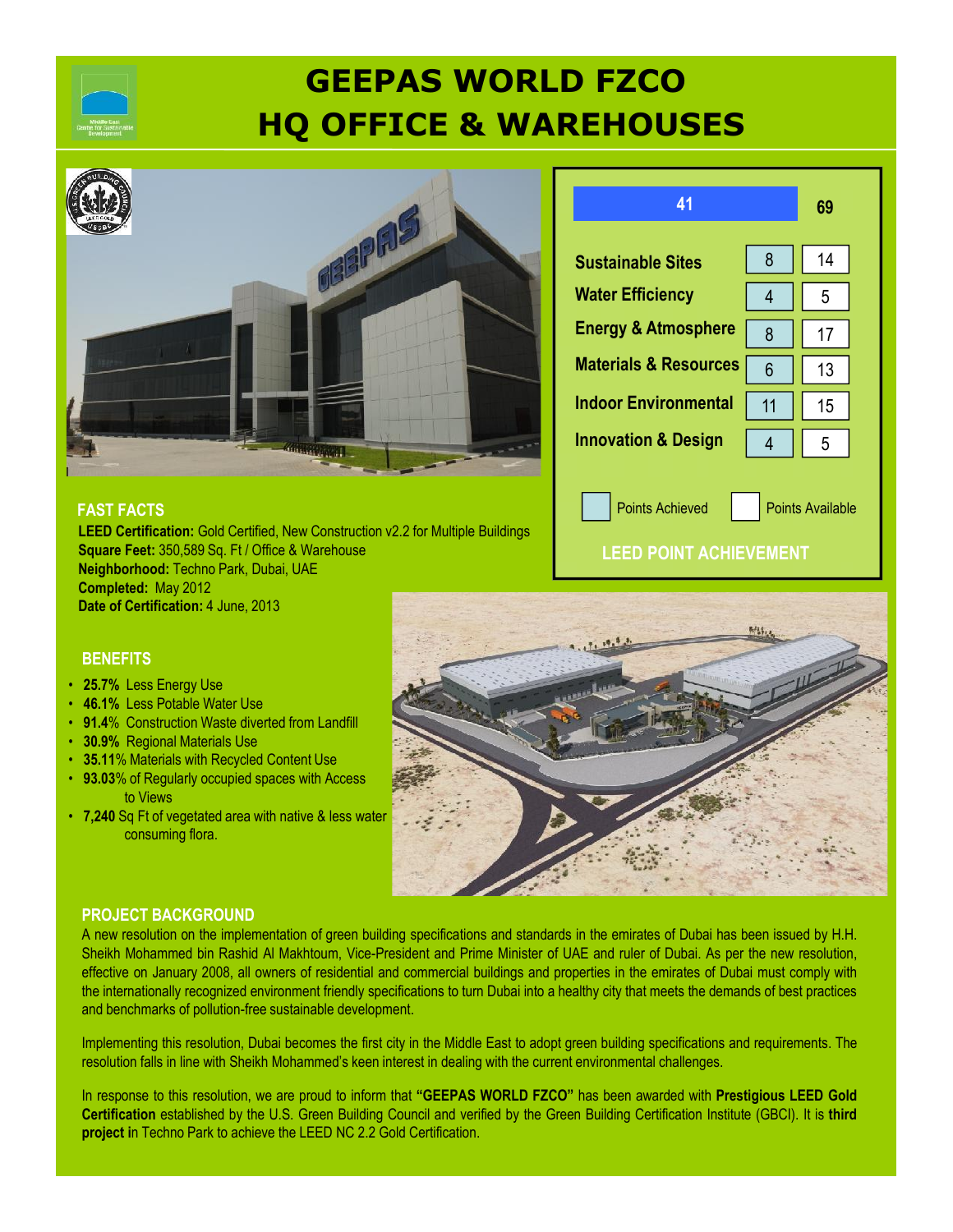

# **GEEPAS WORLD FZCO HQ OFFICE & WAREHOUSES**



#### **FAST FACTS**

**LEED Certification:** Gold Certified, New Construction v2.2 for Multiple Buildings **Square Feet:** 350,589 Sq. Ft / Office & Warehouse **Neighborhood:** Techno Park, Dubai, UAE **Completed:** May 2012 **Date of Certification:** 4 June, 2013

| 41                               |    | 69 |
|----------------------------------|----|----|
| <b>Sustainable Sites</b>         | 8  | 14 |
| <b>Water Efficiency</b>          | 4  | 5  |
| <b>Energy &amp; Atmosphere</b>   | 8  | 17 |
| <b>Materials &amp; Resources</b> | 6  | 13 |
| <b>Indoor Environmental</b>      | 11 | 15 |
| <b>Innovation &amp; Design</b>   |    | 5  |

Points Achieved **Points Available** 

### **LEED POINT ACHIEVEMENT**

#### **BENEFITS**

- **25.7%** Less Energy Use
- **46.1%** Less Potable Water Use
- **91.4**% Construction Waste diverted from Landfill
- **30.9%** Regional Materials Use
- **35.11**% Materials with Recycled Content Use
- **93.03**% of Regularly occupied spaces with Access to Views
- **7,240** Sq Ft of vegetated area with native & less water consuming flora.



#### **PROJECT BACKGROUND**

A new resolution on the implementation of green building specifications and standards in the emirates of Dubai has been issued by H.H. Sheikh Mohammed bin Rashid Al Makhtoum, Vice-President and Prime Minister of UAE and ruler of Dubai. As per the new resolution, effective on January 2008, all owners of residential and commercial buildings and properties in the emirates of Dubai must comply with the internationally recognized environment friendly specifications to turn Dubai into a healthy city that meets the demands of best practices and benchmarks of pollution-free sustainable development.

Implementing this resolution, Dubai becomes the first city in the Middle East to adopt green building specifications and requirements. The resolution falls in line with Sheikh Mohammed's keen interest in dealing with the current environmental challenges.

In response to this resolution, we are proud to inform that **"GEEPAS WORLD FZCO"** has been awarded with **Prestigious LEED Gold Certification** established by the U.S. Green Building Council and verified by the Green Building Certification Institute (GBCI). It is **third project i**n Techno Park to achieve the LEED NC 2.2 Gold Certification.